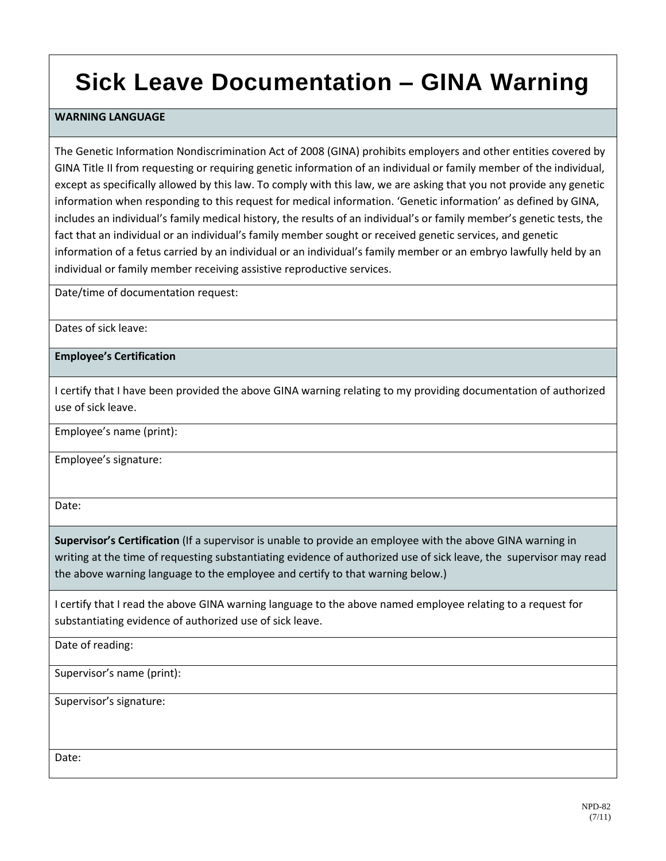## **Sick Leave Documentation – GINA Warning**

## **WARNING LANGUAGE**

The Genetic Information Nondiscrimination Act of 2008 (GINA) prohibits employers and other entities covered by GINA Title II from requesting or requiring genetic information of an individual or family member of the individual, except as specifically allowed by this law. To comply with this law, we are asking that you not provide any genetic information when responding to this request for medical information. 'Genetic information' as defined by GINA, includes an individual's family medical history, the results of an individual's or family member's genetic tests, the fact that an individual or an individual's family member sought or received genetic services, and genetic information of a fetus carried by an individual or an individual's family member or an embryo lawfully held by an individual or family member receiving assistive reproductive services.

Date/time of documentation request:

Dates of sick leave:

**Employee's Certification**

I certify that I have been provided the above GINA warning relating to my providing documentation of authorized use of sick leave.

Employee's name (print):

Employee's signature:

Date:

**Supervisor's Certification** (If a supervisor is unable to provide an employee with the above GINA warning in writing at the time of requesting substantiating evidence of authorized use of sick leave, the supervisor may read the above warning language to the employee and certify to that warning below.)

I certify that I read the above GINA warning language to the above named employee relating to a request for substantiating evidence of authorized use of sick leave.

Date of reading:

Supervisor's name (print):

Supervisor's signature:

Date: